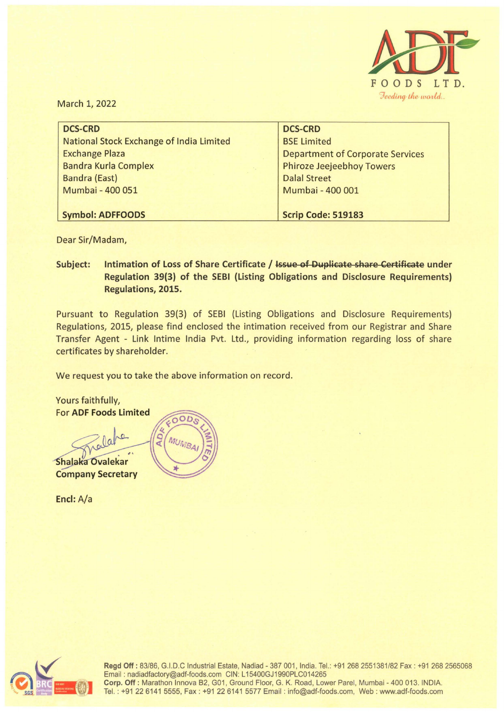

March 1, 2022

| <b>DCS-CRD</b>                          |
|-----------------------------------------|
| <b>BSE Limited</b>                      |
| <b>Department of Corporate Services</b> |
| <b>Phiroze Jeejeebhoy Towers</b>        |
| <b>Dalal Street</b>                     |
| Mumbai - 400 001                        |
|                                         |
| Scrip Code: 519183                      |
|                                         |

Dear Sir/Madam,

**Subject: Intimation of Loss of Share Certificate** / **Issue of Duplicate share Certificate under Regulation 39{3) of the SEBI (Listing Obligations and Disclosure Requirements) Regulations, 2015.** 

Pursuant to Regulation 39(3) of SEBI (Listing Obligations and Disclosure Requirements) Regulations, 2015, please find enclosed the intimation received from our Registrar and Share Transfer Agent - Link lntime India Pvt. Ltd., providing information regarding loss of share certificates by shareholder.

We request you to take the above information on record.

Yours faithfully, For **ADF Foods Limited**   $\Omega$  $\overline{a}$ MUN Shalaka Ovalekar **Company Secretary** 

**Encl:** A/a



**Regd Off:** 83/86, G.I.D.C Industrial Estate, Nadiad - 387 001, India. Tel. : +91 268 2551381/82 Fax: +91 268 2565068 Email: nadiadfactory@adf-foods.com CIN: L15400GJ1990PLC014265 Corp. Off: Marathon Innova B2, G01, Ground Floor, G. K. Road, Lower Parel, Mumbai - 400 013. INDIA. Tel. : +91226141 5555, Fax: +91226141 5577 Email : info@adf-foods.com, Web : www.adf-foods.com